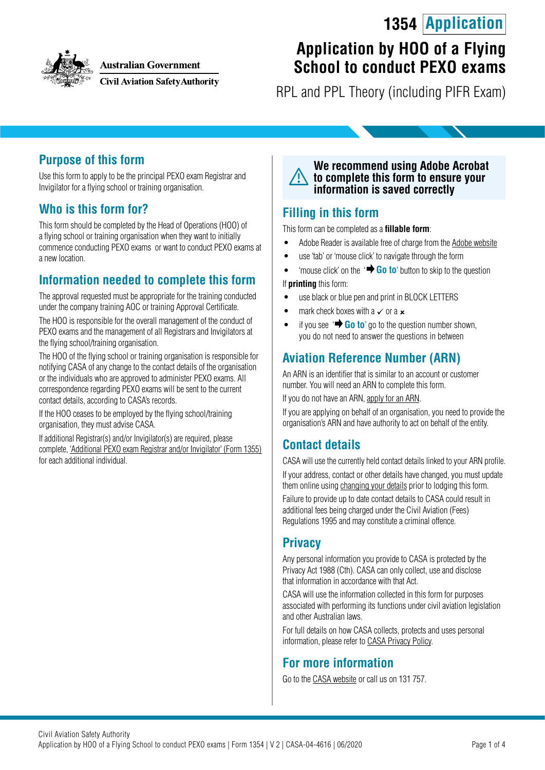## **1354 Application**



**Australian Government** 

**Civil Aviation Safety Authority** 

# **Application by HOO of a Flying School to conduct PEXO exams**

RPL and PPL Theory (including PIFR Exam)

#### **Purpose of this form**

Use this form to apply to be the principal PEXO exam Registrar and Invigilator for a flying school or training organisation.

#### **Who is this form for?**

This form should be completed by the Head of Operations (HOO) of a flying school or training organisation when they want to initially commence conducting PEXO exams or want to conduct PEXO exams at a new location.

### **Information needed to complete this form**

The approval requested must be appropriate for the training conducted under the company training AOC or training Approval Certificate.

The HOO is responsible for the overall management of the conduct of PEXO exams and the management of all Registrars and Invigilators at the flying school/training organisation.

The HOO of the flying school or training organisation is responsible for notifying CASA of any change to the contact details of the organisation or the individuals who are approved to administer PEXO exams. All correspondence regarding PEXO exams will be sent to the current contact details, according to CASA's records.

If the HOO ceases to be employed by the flying school/training organisation, they must advise CASA.

If additional Registrar(s) and/or Invigilator(s) are required, please complete, '[Additional PEXO exam Registrar and/or Invigilator' \(Form 1355\)](https://www.casa.gov.au/publications-and-resources/forms-and-templates) for each additional individual.



#### **Filling in this form**

This form can be completed as a **fillable form**:

- Adobe Reader is available free of charge from the [Adobe website](https://get.adobe.com/reader/)
- use 'tab' or 'mouse click' to navigate through the form
- 'mouse click' on the '**+ Go to**' button to skip to the question

If **printing** this form:

- use black or blue pen and print in BLOCK LETTERS
- mark check boxes with a  $\times$  or a  $\times$
- if you see  $\overrightarrow{ }$  **Go to**' go to the question number shown, you do not need to answer the questions in between

### **Aviation Reference Number (ARN)**

An ARN is an identifier that is similar to an account or customer number. You will need an ARN to complete this form.

If you do not have an ARN, [apply for an ARN](https://www.casa.gov.au/licences-and-certification/individual-licensing/applying-aviation-reference-number-arn).

If you are applying on behalf of an organisation, you need to provide the organisation's ARN and have authority to act on behalf of the entity.

#### **Contact details**

CASA will use the currently held contact details linked to your ARN profile. If your address, contact or other details have changed, you must update them online using [changing your details](https://www.casa.gov.au/licences-and-certification/individual-licensing/licence-information/changing-your-details) prior to lodging this form.

Failure to provide up to date contact details to CASA could result in additional fees being charged under the Civil Aviation (Fees) Regulations 1995 and may constitute a criminal offence.

#### **Privacy**

Any personal information you provide to CASA is protected by the Privacy Act 1988 (Cth). CASA can only collect, use and disclose that information in accordance with that Act.

CASA will use the information collected in this form for purposes associated with performing its functions under civil aviation legislation and other Australian laws.

For full details on how CASA collects, protects and uses personal information, please refer to [CASA Privacy Policy](http://www.casa.gov.au/privacy-policy).

#### **For more information**

Go to the [CASA website](http://www.casa.gov.au) or call us on 131 757.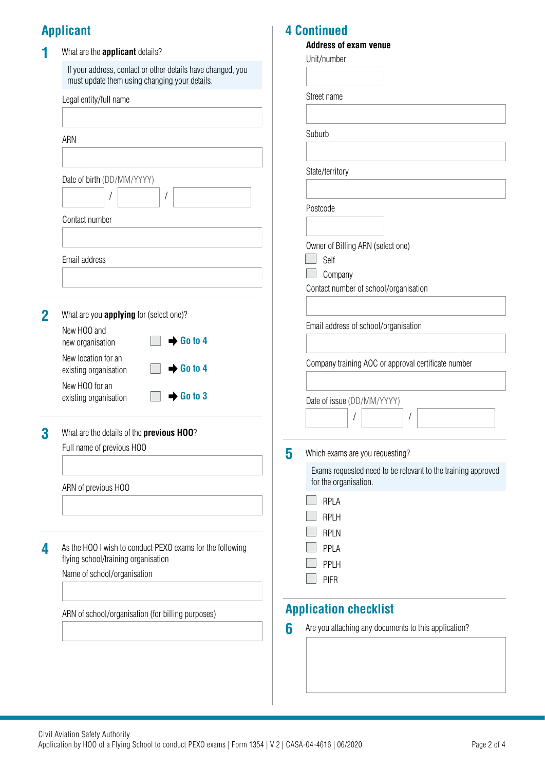## **Applicant**

|   | What are the applicant details?                                                                  |   | <b>Address of exam venue</b>                                                          |  |  |  |
|---|--------------------------------------------------------------------------------------------------|---|---------------------------------------------------------------------------------------|--|--|--|
|   | If your address, contact or other details have changed, you                                      |   | Unit/number                                                                           |  |  |  |
|   | must update them using changing your details.                                                    |   |                                                                                       |  |  |  |
|   | Legal entity/full name                                                                           |   | Street name                                                                           |  |  |  |
|   |                                                                                                  |   |                                                                                       |  |  |  |
|   |                                                                                                  |   | Suburb                                                                                |  |  |  |
|   | ARN                                                                                              |   |                                                                                       |  |  |  |
|   |                                                                                                  |   |                                                                                       |  |  |  |
|   | Date of birth (DD/MM/YYYY)                                                                       |   | State/territory                                                                       |  |  |  |
|   |                                                                                                  |   |                                                                                       |  |  |  |
|   |                                                                                                  |   | Postcode                                                                              |  |  |  |
|   | Contact number                                                                                   |   |                                                                                       |  |  |  |
|   |                                                                                                  |   | Owner of Billing ARN (select one)                                                     |  |  |  |
|   | Email address                                                                                    |   | Self                                                                                  |  |  |  |
|   |                                                                                                  |   | Company                                                                               |  |  |  |
|   |                                                                                                  |   | Contact number of school/organisation                                                 |  |  |  |
| 2 | What are you <b>applying</b> for (select one)?                                                   |   |                                                                                       |  |  |  |
|   | New HOO and                                                                                      |   | Email address of school/organisation                                                  |  |  |  |
|   | $\rightarrow$ Go to 4<br>new organisation                                                        |   |                                                                                       |  |  |  |
|   | New location for an                                                                              |   | Company training AOC or approval certificate number                                   |  |  |  |
|   | $\rightarrow$ Go to 4<br>existing organisation                                                   |   |                                                                                       |  |  |  |
|   | New HOO for an<br>$\rightarrow$ Go to 3<br>existing organisation                                 |   |                                                                                       |  |  |  |
|   |                                                                                                  |   | Date of issue (DD/MM/YYYY)                                                            |  |  |  |
|   |                                                                                                  |   | $\prime$                                                                              |  |  |  |
| 3 | What are the details of the previous HOO?                                                        |   |                                                                                       |  |  |  |
|   | Full name of previous HOO                                                                        | 5 | Which exams are you requesting?                                                       |  |  |  |
|   |                                                                                                  |   | Exams requested need to be relevant to the training approved<br>for the organisation. |  |  |  |
|   | ARN of previous HOO                                                                              |   |                                                                                       |  |  |  |
|   |                                                                                                  |   | RPLA                                                                                  |  |  |  |
|   |                                                                                                  |   | <b>RPLH</b>                                                                           |  |  |  |
|   |                                                                                                  |   | <b>RPLN</b>                                                                           |  |  |  |
| 4 | As the HOO I wish to conduct PEXO exams for the following<br>flying school/training organisation |   | PPLA                                                                                  |  |  |  |
|   | Name of school/organisation                                                                      |   | PPLH                                                                                  |  |  |  |
|   |                                                                                                  |   | <b>PIFR</b>                                                                           |  |  |  |
|   |                                                                                                  |   | <b>Application checklist</b>                                                          |  |  |  |
|   | ARN of school/organisation (for billing purposes)                                                | 6 | Are you attaching any documents to this application?                                  |  |  |  |
|   |                                                                                                  |   |                                                                                       |  |  |  |
|   |                                                                                                  |   |                                                                                       |  |  |  |
|   |                                                                                                  |   |                                                                                       |  |  |  |
|   |                                                                                                  |   |                                                                                       |  |  |  |

**4 Continued**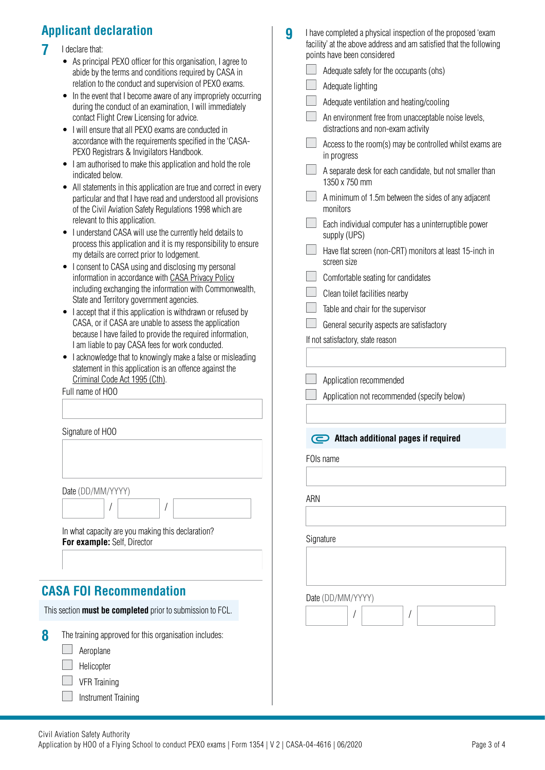## **Applicant declaration**

#### **7** I declare that:

- As principal PEXO officer for this organisation, I agree to abide by the terms and conditions required by CASA in relation to the conduct and supervision of PEXO exams.
- In the event that I become aware of any impropriety occurring during the conduct of an examination, I will immediately contact Flight Crew Licensing for advice.
- I will ensure that all PEXO exams are conducted in accordance with the requirements specified in the 'CASA-PEXO Registrars & Invigilators Handbook.
- I am authorised to make this application and hold the role indicated below.
- All statements in this application are true and correct in every particular and that I have read and understood all provisions of the Civil Aviation Safety Regulations 1998 which are relevant to this application.
- I understand CASA will use the currently held details to process this application and it is my responsibility to ensure my details are correct prior to lodgement.
- I consent to CASA using and disclosing my personal information in accordance with [CASA Privacy Policy](http://www.casa.gov.au/privacy-policy) including exchanging the information with Commonwealth, State and Territory government agencies.
- I accept that if this application is withdrawn or refused by CASA, or if CASA are unable to assess the application because I have failed to provide the required information, I am liable to pay CASA fees for work conducted.
- I acknowledge that to knowingly make a false or misleading statement in this application is an offence against the [Criminal Code Act 1995 \(Cth\)](https://www.legislation.gov.au/Details/C2018C00244).

/

Full name of HOO

Signature of HOO

Date (DD/MM/YYYY)

/

 $\begin{array}{c} \hline \end{array}$ In what capacity are you making this declaration? **For example:** Self, Director

**CASA FOI Recommendation**

This section **must be completed** prior to submission to FCL.

| 8 | The training approved for this organisation includes: |  |
|---|-------------------------------------------------------|--|
|   | $\Box$ Aeroplane                                      |  |

- **Helicopter**
- VFR Training

Instrument Training

- **9** I have completed a physical inspection of the proposed 'exam facility' at the above address and am satisfied that the following points have been considered
- Adequate safety for the occupants (ohs) Adequate lighting Adequate ventilation and heating/cooling An environment free from unacceptable noise levels, distractions and non-exam activity Access to the room(s) may be controlled whilst exams are in progress A separate desk for each candidate, but not smaller than 1350 x 750 mm  $\Box$  A minimum of 1.5m between the sides of any adjacent monitors Each individual computer has a uninterruptible power supply (UPS)  $\mathcal{L}^{\text{max}}$ Have flat screen (non-CRT) monitors at least 15-inch in screen size Comfortable seating for candidates Clean toilet facilities nearby Table and chair for the supervisor General security aspects are satisfactory If not satisfactory, state reason Application recommended Application not recommended (specify below) **\textcircled{}</math> Attach additional pages if required** FOIs name ARN **Signature** Date (DD/MM/YYYY) / /  $\begin{array}{c} \end{array}$